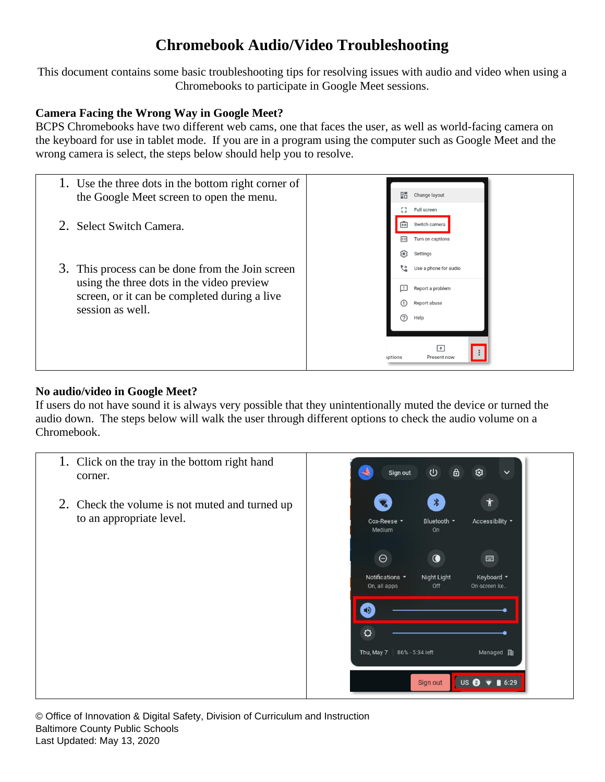This document contains some basic troubleshooting tips for resolving issues with audio and video when using a Chromebooks to participate in Google Meet sessions.

### **Camera Facing the Wrong Way in Google Meet?**

BCPS Chromebooks have two different web cams, one that faces the user, as well as world-facing camera on the keyboard for use in tablet mode. If you are in a program using the computer such as Google Meet and the wrong camera is select, the steps below should help you to resolve.



#### **No audio/video in Google Meet?**

If users do not have sound it is always very possible that they unintentionally muted the device or turned the audio down. The steps below will walk the user through different options to check the audio volume on a Chromebook.

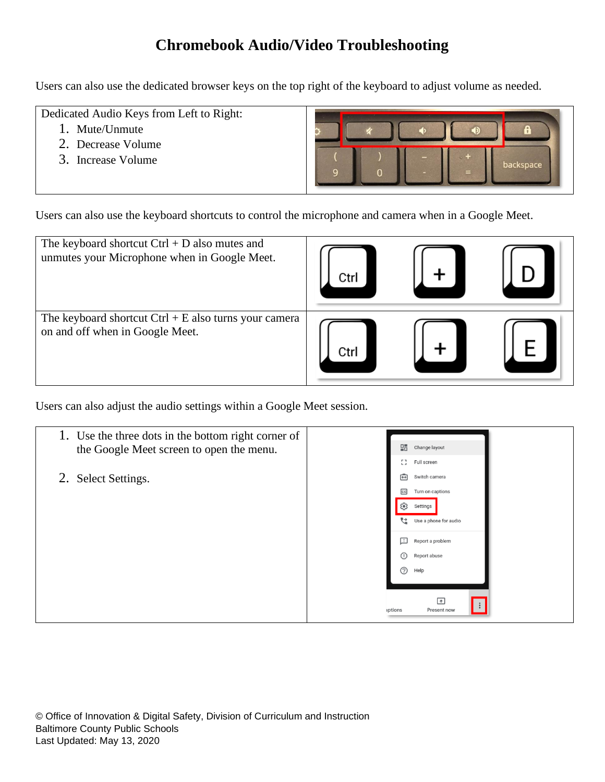Users can also use the dedicated browser keys on the top right of the keyboard to adjust volume as needed.

Dedicated Audio Keys from Left to Right:

- 1. Mute/Unmute
- 2. Decrease Volume
- 3. Increase Volume



Users can also use the keyboard shortcuts to control the microphone and camera when in a Google Meet.

| The keyboard shortcut $Ctrl + D$ also mutes and<br>unmutes your Microphone when in Google Meet. | ∷tr   |  |
|-------------------------------------------------------------------------------------------------|-------|--|
| The keyboard shortcut $Ctrl + E$ also turns your camera<br>on and off when in Google Meet.      | Γ.trl |  |

Users can also adjust the audio settings within a Google Meet session.

| 1. Use the three dots in the bottom right corner of<br>the Google Meet screen to open the menu. | 밀급 Change layout<br>53<br>Full screen                                                                                                                                                                                                                              |
|-------------------------------------------------------------------------------------------------|--------------------------------------------------------------------------------------------------------------------------------------------------------------------------------------------------------------------------------------------------------------------|
| 2. Select Settings.                                                                             | $\overline{\mathbf{G}}$<br>Switch camera<br><b>CC</b><br>Turn on captions<br>జ్రి<br>Settings<br>Use a phone for audio<br>⊡<br>Report a problem<br>$\circled{r}$<br>Report abuse<br>$\circledcirc$<br>Help<br>$\overline{a}$<br>$\colon$<br>Present now<br>iptions |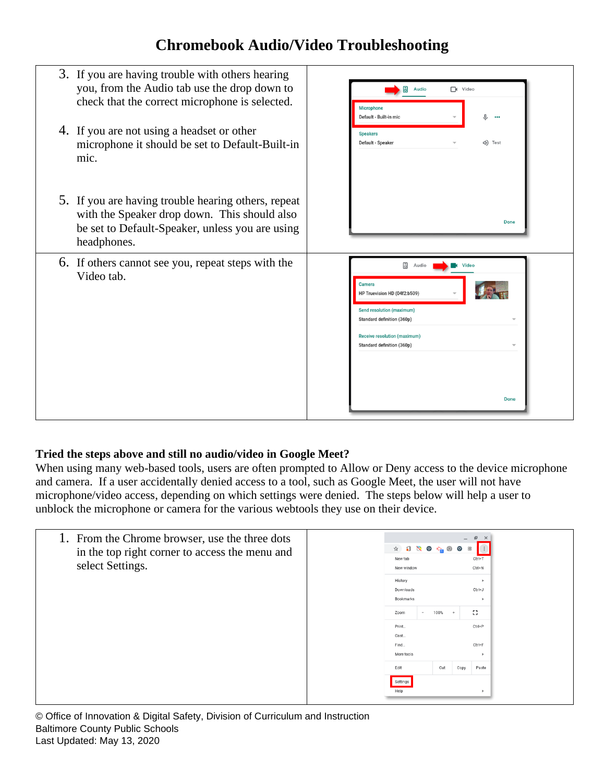

### **Tried the steps above and still no audio/video in Google Meet?**

When using many web-based tools, users are often prompted to Allow or Deny access to the device microphone and camera. If a user accidentally denied access to a tool, such as Google Meet, the user will not have microphone/video access, depending on which settings were denied. The steps below will help a user to unblock the microphone or camera for the various webtools they use on their device.

|  | 巴<br>$\times$<br>$-$<br><b>☆ 5 N O G @ O B</b><br>New tab<br>Ctrl+T<br>$Ctrl + N$<br>New window |               |        |                                                |            |
|--|-------------------------------------------------------------------------------------------------|---------------|--------|------------------------------------------------|------------|
|  | History<br>Downloads<br>Bookmarks                                                               |               |        | $\ddot{\phantom{1}}$<br>Ctrl+J<br>$\mathbf{r}$ |            |
|  | Zoom                                                                                            | 100%          |        | -53                                            |            |
|  | Print                                                                                           |               |        | $Ctrl + P$                                     |            |
|  |                                                                                                 |               |        |                                                |            |
|  | More tools                                                                                      |               |        | $\ddot{}$                                      |            |
|  | Edit                                                                                            | Cut           | Copy   | Paste                                          |            |
|  | Settings<br>Help                                                                                |               |        |                                                |            |
|  |                                                                                                 | Cast.<br>Find | $\sim$ | $+$                                            | $Ctrl + F$ |